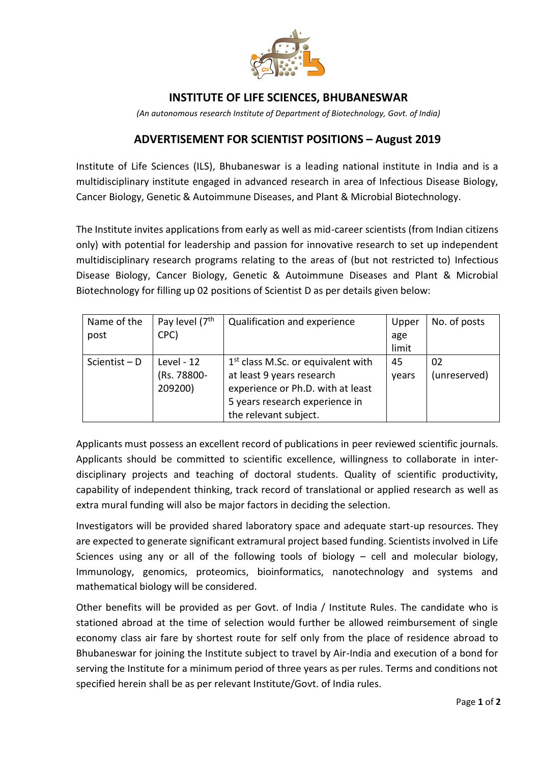

## **INSTITUTE OF LIFE SCIENCES, BHUBANESWAR**

*(An autonomous research Institute of Department of Biotechnology, Govt. of India)*

## **ADVERTISEMENT FOR SCIENTIST POSITIONS – August 2019**

Institute of Life Sciences (ILS), Bhubaneswar is a leading national institute in India and is a multidisciplinary institute engaged in advanced research in area of Infectious Disease Biology, Cancer Biology, Genetic & Autoimmune Diseases, and Plant & Microbial Biotechnology.

The Institute invites applications from early as well as mid-career scientists (from Indian citizens only) with potential for leadership and passion for innovative research to set up independent multidisciplinary research programs relating to the areas of (but not restricted to) Infectious Disease Biology, Cancer Biology, Genetic & Autoimmune Diseases and Plant & Microbial Biotechnology for filling up 02 positions of Scientist D as per details given below:

| Name of the     | Pay level (7 <sup>th</sup> | Qualification and experience         | Upper | No. of posts |
|-----------------|----------------------------|--------------------------------------|-------|--------------|
| post            | CPC)                       |                                      | age   |              |
|                 |                            |                                      | limit |              |
| Scientist $- D$ | Level - $12$               | $1st$ class M.Sc. or equivalent with | 45    | 02           |
|                 | (Rs. 78800-                | at least 9 years research            | years | (unreserved) |
|                 | 209200)                    | experience or Ph.D. with at least    |       |              |
|                 |                            | 5 years research experience in       |       |              |
|                 |                            | the relevant subject.                |       |              |

Applicants must possess an excellent record of publications in peer reviewed scientific journals. Applicants should be committed to scientific excellence, willingness to collaborate in interdisciplinary projects and teaching of doctoral students. Quality of scientific productivity, capability of independent thinking, track record of translational or applied research as well as extra mural funding will also be major factors in deciding the selection.

Investigators will be provided shared laboratory space and adequate start-up resources. They are expected to generate significant extramural project based funding. Scientists involved in Life Sciences using any or all of the following tools of biology – cell and molecular biology, Immunology, genomics, proteomics, bioinformatics, nanotechnology and systems and mathematical biology will be considered.

Other benefits will be provided as per Govt. of India / Institute Rules. The candidate who is stationed abroad at the time of selection would further be allowed reimbursement of single economy class air fare by shortest route for self only from the place of residence abroad to Bhubaneswar for joining the Institute subject to travel by Air-India and execution of a bond for serving the Institute for a minimum period of three years as per rules. Terms and conditions not specified herein shall be as per relevant Institute/Govt. of India rules.